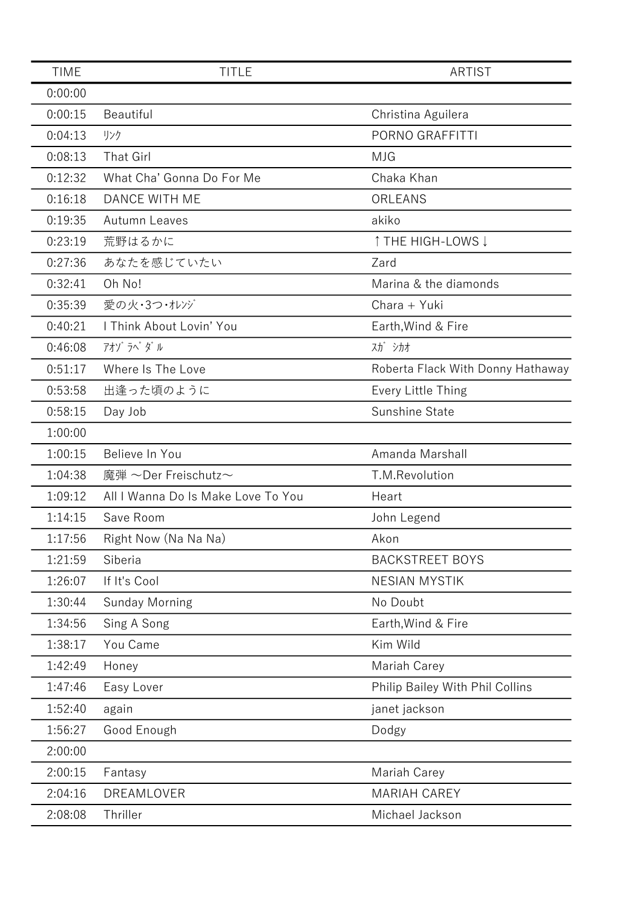| <b>TIME</b> | <b>TITLE</b>                       | <b>ARTIST</b>                     |
|-------------|------------------------------------|-----------------------------------|
| 0:00:00     |                                    |                                   |
| 0:00:15     | Beautiful                          | Christina Aguilera                |
| 0:04:13     | リンク                                | PORNO GRAFFITTI                   |
| 0:08:13     | <b>That Girl</b>                   | <b>MJG</b>                        |
| 0:12:32     | What Cha' Gonna Do For Me          | Chaka Khan                        |
| 0:16:18     | <b>DANCE WITH ME</b>               | ORLEANS                           |
| 0:19:35     | Autumn Leaves                      | akiko                             |
| 0:23:19     | 荒野はるかに                             | ↑ THE HIGH-LOWS ↓                 |
| 0:27:36     | あなたを感じていたい                         | Zard                              |
| 0:32:41     | Oh No!                             | Marina & the diamonds             |
| 0:35:39     | 愛の火・3つ・オレンジ                        | Chara + Yuki                      |
| 0:40:21     | I Think About Lovin' You           | Earth, Wind & Fire                |
| 0:46:08     | アオゾ ラペ ダル                          | 入力 シカオ                            |
| 0:51:17     | Where Is The Love                  | Roberta Flack With Donny Hathaway |
| 0:53:58     | 出逢った頃のように                          | Every Little Thing                |
| 0:58:15     | Day Job                            | Sunshine State                    |
| 1:00:00     |                                    |                                   |
| 1:00:15     | Believe In You                     | Amanda Marshall                   |
| 1:04:38     | 魔弾 ~Der Freischutz~                | T.M.Revolution                    |
| 1:09:12     | All I Wanna Do Is Make Love To You | Heart                             |
| 1:14:15     | Save Room                          | John Legend                       |
| 1:17:56     | Right Now (Na Na Na)               | Akon                              |
| 1:21:59     | Siberia                            | <b>BACKSTREET BOYS</b>            |
| 1:26:07     | If It's Cool                       | <b>NESIAN MYSTIK</b>              |
| 1:30:44     | <b>Sunday Morning</b>              | No Doubt                          |
| 1:34:56     | Sing A Song                        | Earth, Wind & Fire                |
| 1:38:17     | You Came                           | Kim Wild                          |
| 1:42:49     | Honey                              | Mariah Carey                      |
| 1:47:46     | Easy Lover                         | Philip Bailey With Phil Collins   |
| 1:52:40     | again                              | janet jackson                     |
| 1:56:27     | Good Enough                        | Dodgy                             |
| 2:00:00     |                                    |                                   |
| 2:00:15     | Fantasy                            | Mariah Carey                      |
| 2:04:16     | DREAMLOVER                         | <b>MARIAH CAREY</b>               |
| 2:08:08     | Thriller                           | Michael Jackson                   |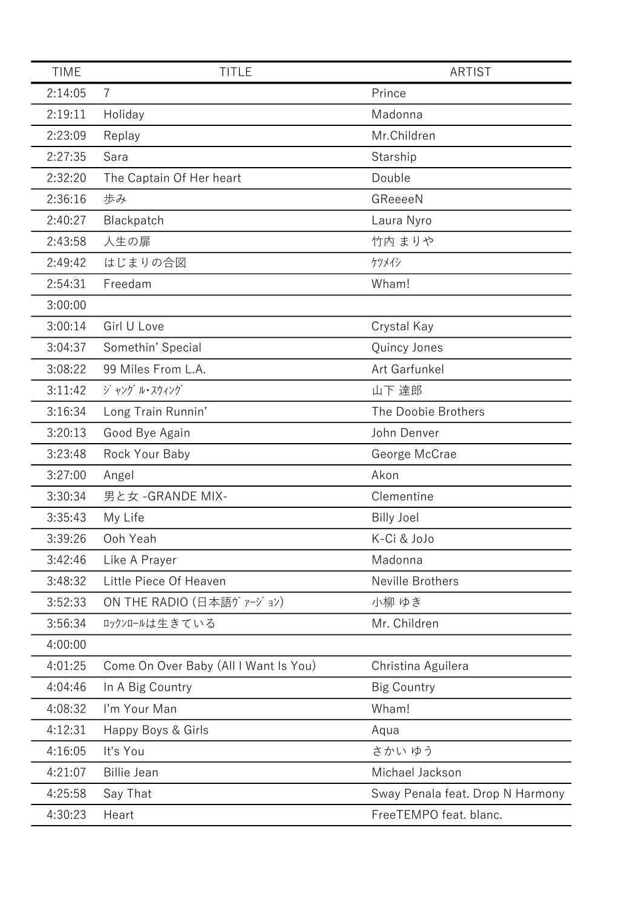| <b>TIME</b> | <b>TITLE</b>                          | <b>ARTIST</b>                    |
|-------------|---------------------------------------|----------------------------------|
| 2:14:05     | $\overline{7}$                        | Prince                           |
| 2:19:11     | Holiday                               | Madonna                          |
| 2:23:09     | Replay                                | Mr.Children                      |
| 2:27:35     | Sara                                  | Starship                         |
| 2:32:20     | The Captain Of Her heart              | Double                           |
| 2:36:16     | 歩み                                    | GReeeeN                          |
| 2:40:27     | Blackpatch                            | Laura Nyro                       |
| 2:43:58     | 人生の扉                                  | 竹内 まりや                           |
| 2:49:42     | はじまりの合図                               | ケツメイシ                            |
| 2:54:31     | Freedam                               | Wham!                            |
| 3:00:00     |                                       |                                  |
| 3:00:14     | Girl U Love                           | Crystal Kay                      |
| 3:04:37     | Somethin' Special                     | Quincy Jones                     |
| 3:08:22     | 99 Miles From L.A.                    | Art Garfunkel                    |
| 3:11:42     | ジャング ル・スウィング                          | 山下 達郎                            |
| 3:16:34     | Long Train Runnin'                    | The Doobie Brothers              |
| 3:20:13     | Good Bye Again                        | John Denver                      |
| 3:23:48     | Rock Your Baby                        | George McCrae                    |
| 3:27:00     | Angel                                 | Akon                             |
| 3:30:34     | 男と女 - GRANDE MIX-                     | Clementine                       |
| 3:35:43     | My Life                               | <b>Billy Joel</b>                |
| 3:39:26     | Ooh Yeah                              | K-Ci & JoJo                      |
| 3:42:46     | Like A Prayer                         | Madonna                          |
| 3:48:32     | Little Piece Of Heaven                | Neville Brothers                 |
| 3:52:33     | ON THE RADIO (日本語ヴァージョン)              | 小柳 ゆき                            |
| 3:56:34     | ロックンロールは生きている                         | Mr. Children                     |
| 4:00:00     |                                       |                                  |
| 4:01:25     | Come On Over Baby (All I Want Is You) | Christina Aguilera               |
| 4:04:46     | In A Big Country                      | <b>Big Country</b>               |
| 4:08:32     | I'm Your Man                          | Wham!                            |
| 4:12:31     | Happy Boys & Girls                    | Aqua                             |
| 4:16:05     | It's You                              | さかい ゆう                           |
| 4:21:07     | <b>Billie Jean</b>                    | Michael Jackson                  |
| 4:25:58     | Say That                              | Sway Penala feat. Drop N Harmony |
| 4:30:23     | Heart                                 | FreeTEMPO feat. blanc.           |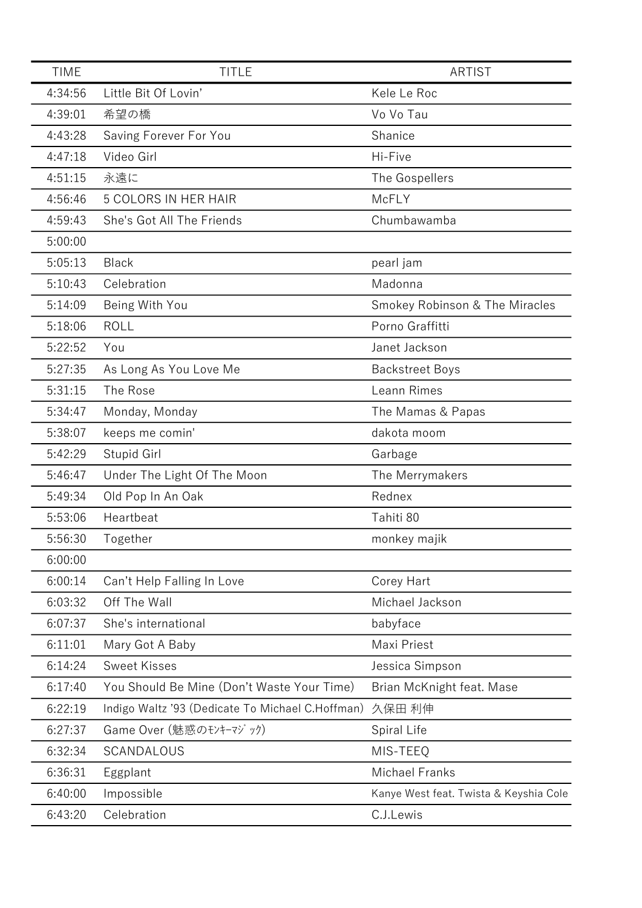| <b>TIME</b> | <b>TITLE</b>                                     | ARTIST                                 |
|-------------|--------------------------------------------------|----------------------------------------|
| 4:34:56     | Little Bit Of Lovin'                             | Kele Le Roc                            |
| 4:39:01     | 希望の橋                                             | Vo Vo Tau                              |
| 4:43:28     | Saving Forever For You                           | Shanice                                |
| 4:47:18     | Video Girl                                       | Hi-Five                                |
| 4:51:15     | 永遠に                                              | The Gospellers                         |
| 4:56:46     | 5 COLORS IN HER HAIR                             | McFLY                                  |
| 4:59:43     | She's Got All The Friends                        | Chumbawamba                            |
| 5:00:00     |                                                  |                                        |
| 5:05:13     | <b>Black</b>                                     | pearl jam                              |
| 5:10:43     | Celebration                                      | Madonna                                |
| 5:14:09     | Being With You                                   | Smokey Robinson & The Miracles         |
| 5:18:06     | <b>ROLL</b>                                      | Porno Graffitti                        |
| 5:22:52     | You                                              | Janet Jackson                          |
| 5:27:35     | As Long As You Love Me                           | <b>Backstreet Boys</b>                 |
| 5:31:15     | The Rose                                         | Leann Rimes                            |
| 5:34:47     | Monday, Monday                                   | The Mamas & Papas                      |
| 5:38:07     | keeps me comin'                                  | dakota moom                            |
| 5:42:29     | Stupid Girl                                      | Garbage                                |
| 5:46:47     | Under The Light Of The Moon                      | The Merrymakers                        |
| 5:49:34     | Old Pop In An Oak                                | Rednex                                 |
| 5:53:06     | Heartbeat                                        | Tahiti 80                              |
| 5:56:30     | Together                                         | monkey majik                           |
| 6:00:00     |                                                  |                                        |
| 6:00:14     | Can't Help Falling In Love                       | Corey Hart                             |
| 6:03:32     | Off The Wall                                     | Michael Jackson                        |
| 6:07:37     | She's international                              | babyface                               |
| 6:11:01     | Mary Got A Baby                                  | Maxi Priest                            |
| 6:14:24     | <b>Sweet Kisses</b>                              | Jessica Simpson                        |
| 6:17:40     | You Should Be Mine (Don't Waste Your Time)       | Brian McKnight feat. Mase              |
| 6:22:19     | Indigo Waltz '93 (Dedicate To Michael C.Hoffman) | 久保田 利伸                                 |
| 6:27:37     | Game Over (魅惑のモンキーマジック)                          | Spiral Life                            |
| 6:32:34     | <b>SCANDALOUS</b>                                | MIS-TEEQ                               |
| 6:36:31     | Eggplant                                         | <b>Michael Franks</b>                  |
| 6:40:00     | Impossible                                       | Kanye West feat. Twista & Keyshia Cole |
| 6:43:20     | Celebration                                      | C.J.Lewis                              |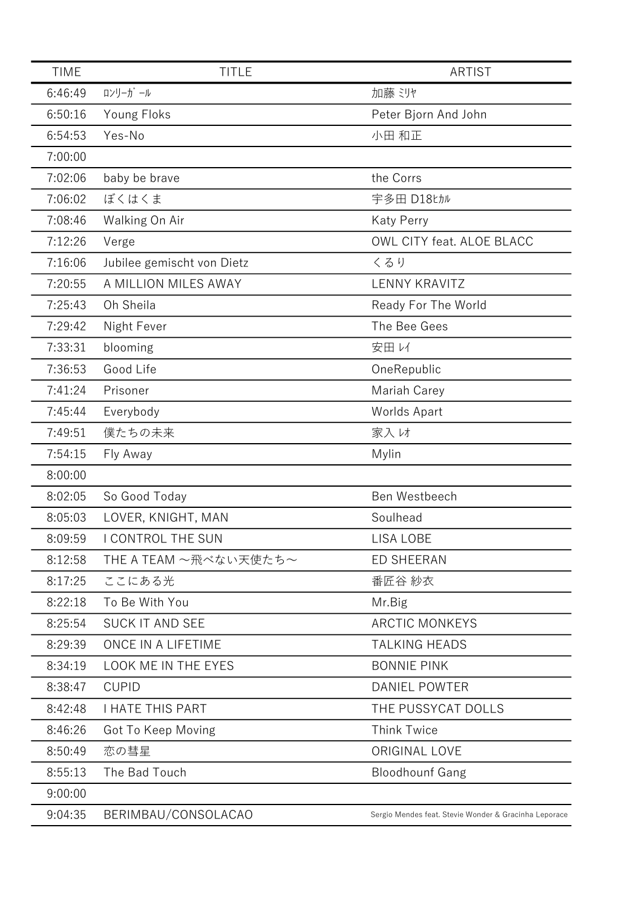| <b>TIME</b> | <b>TITLE</b>               | ARTIST                                                |
|-------------|----------------------------|-------------------------------------------------------|
| 6:46:49     | ロンリーガール                    | 加藤 ミリヤ                                                |
| 6:50:16     | Young Floks                | Peter Bjorn And John                                  |
| 6:54:53     | Yes-No                     | 小田 和正                                                 |
| 7:00:00     |                            |                                                       |
| 7:02:06     | baby be brave              | the Corrs                                             |
| 7:06:02     | ぼくはくま                      | 宇多田 D18tカル                                            |
| 7:08:46     | Walking On Air             | <b>Katy Perry</b>                                     |
| 7:12:26     | Verge                      | OWL CITY feat. ALOE BLACC                             |
| 7:16:06     | Jubilee gemischt von Dietz | くるり                                                   |
| 7:20:55     | A MILLION MILES AWAY       | <b>LENNY KRAVITZ</b>                                  |
| 7:25:43     | Oh Sheila                  | Ready For The World                                   |
| 7:29:42     | Night Fever                | The Bee Gees                                          |
| 7:33:31     | blooming                   | 安田レイ                                                  |
| 7:36:53     | Good Life                  | OneRepublic                                           |
| 7:41:24     | Prisoner                   | Mariah Carey                                          |
| 7:45:44     | Everybody                  | Worlds Apart                                          |
| 7:49:51     | 僕たちの未来                     | 家入け                                                   |
| 7:54:15     | Fly Away                   | Mylin                                                 |
| 8:00:00     |                            |                                                       |
| 8:02:05     | So Good Today              | Ben Westbeech                                         |
| 8:05:03     | LOVER, KNIGHT, MAN         | Soulhead                                              |
| 8:09:59     | I CONTROL THE SUN          | <b>LISA LOBE</b>                                      |
| 8:12:58     | THE A TEAM ~飛べない天使たち~      | <b>ED SHEERAN</b>                                     |
| 8:17:25     | ここにある光                     | 番匠谷 紗衣                                                |
| 8:22:18     | To Be With You             | Mr.Big                                                |
| 8:25:54     | <b>SUCK IT AND SEE</b>     | <b>ARCTIC MONKEYS</b>                                 |
| 8:29:39     | ONCE IN A LIFETIME         | <b>TALKING HEADS</b>                                  |
| 8:34:19     | LOOK ME IN THE EYES        | <b>BONNIE PINK</b>                                    |
| 8:38:47     | <b>CUPID</b>               | <b>DANIEL POWTER</b>                                  |
| 8:42:48     | <b>I HATE THIS PART</b>    | THE PUSSYCAT DOLLS                                    |
| 8:46:26     | Got To Keep Moving         | <b>Think Twice</b>                                    |
| 8:50:49     | 恋の彗星                       | ORIGINAL LOVE                                         |
| 8:55:13     | The Bad Touch              | <b>Bloodhounf Gang</b>                                |
| 9:00:00     |                            |                                                       |
| 9:04:35     | BERIMBAU/CONSOLACAO        | Sergio Mendes feat. Stevie Wonder & Gracinha Leporace |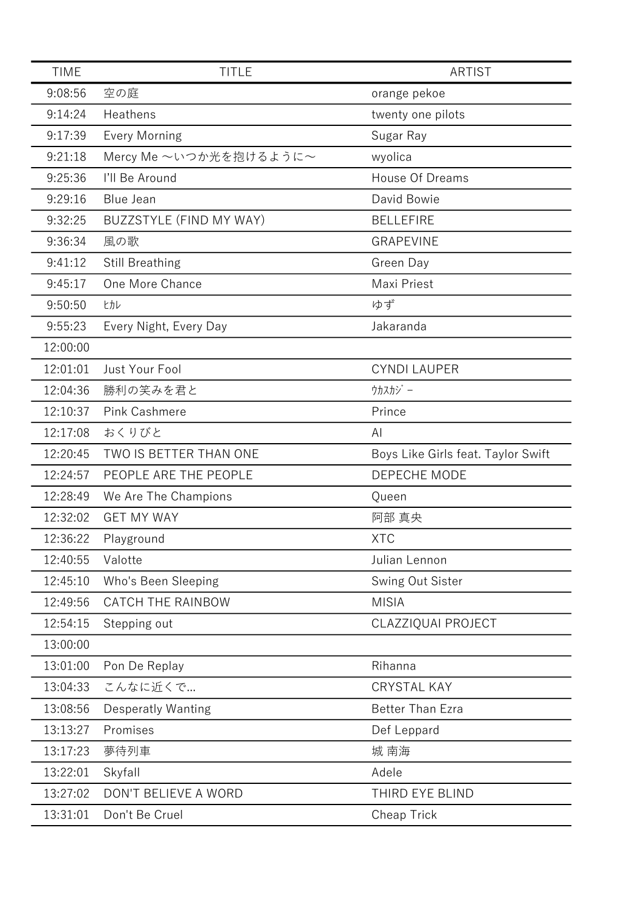| <b>TIME</b> | <b>TITLE</b>              | <b>ARTIST</b>                      |
|-------------|---------------------------|------------------------------------|
| 9:08:56     | 空の庭                       | orange pekoe                       |
| 9:14:24     | Heathens                  | twenty one pilots                  |
| 9:17:39     | <b>Every Morning</b>      | Sugar Ray                          |
| 9:21:18     | Mercy Me ~いつか光を抱けるように~    | wyolica                            |
| 9:25:36     | I'll Be Around            | <b>House Of Dreams</b>             |
| 9:29:16     | <b>Blue Jean</b>          | David Bowie                        |
| 9:32:25     | BUZZSTYLE (FIND MY WAY)   | <b>BELLEFIRE</b>                   |
| 9:36:34     | 風の歌                       | <b>GRAPEVINE</b>                   |
| 9:41:12     | <b>Still Breathing</b>    | Green Day                          |
| 9:45:17     | One More Chance           | Maxi Priest                        |
| 9:50:50     | ヒカレ                       | ゆず                                 |
| 9:55:23     | Every Night, Every Day    | Jakaranda                          |
| 12:00:00    |                           |                                    |
| 12:01:01    | Just Your Fool            | <b>CYNDI LAUPER</b>                |
| 12:04:36    | 勝利の笑みを君と                  | ウカスカジー                             |
| 12:10:37    | <b>Pink Cashmere</b>      | Prince                             |
| 12:17:08    | おくりびと                     | ΑI                                 |
| 12:20:45    | TWO IS BETTER THAN ONE    | Boys Like Girls feat. Taylor Swift |
| 12:24:57    | PEOPLE ARE THE PEOPLE     | DEPECHE MODE                       |
| 12:28:49    | We Are The Champions      | Queen                              |
| 12:32:02    | <b>GET MY WAY</b>         | 阿部 真央                              |
| 12:36:22    | Playground                | <b>XTC</b>                         |
| 12:40:55    | Valotte                   | Julian Lennon                      |
| 12:45:10    | Who's Been Sleeping       | Swing Out Sister                   |
| 12:49:56    | <b>CATCH THE RAINBOW</b>  | <b>MISIA</b>                       |
| 12:54:15    | Stepping out              | CLAZZIQUAI PROJECT                 |
| 13:00:00    |                           |                                    |
| 13:01:00    | Pon De Replay             | Rihanna                            |
| 13:04:33    | こんなに近くで                   | <b>CRYSTAL KAY</b>                 |
| 13:08:56    | <b>Desperatly Wanting</b> | <b>Better Than Ezra</b>            |
| 13:13:27    | Promises                  | Def Leppard                        |
| 13:17:23    | 夢待列車                      | 城 南海                               |
| 13:22:01    | Skyfall                   | Adele                              |
| 13:27:02    | DON'T BELIEVE A WORD      | THIRD EYE BLIND                    |
| 13:31:01    | Don't Be Cruel            | Cheap Trick                        |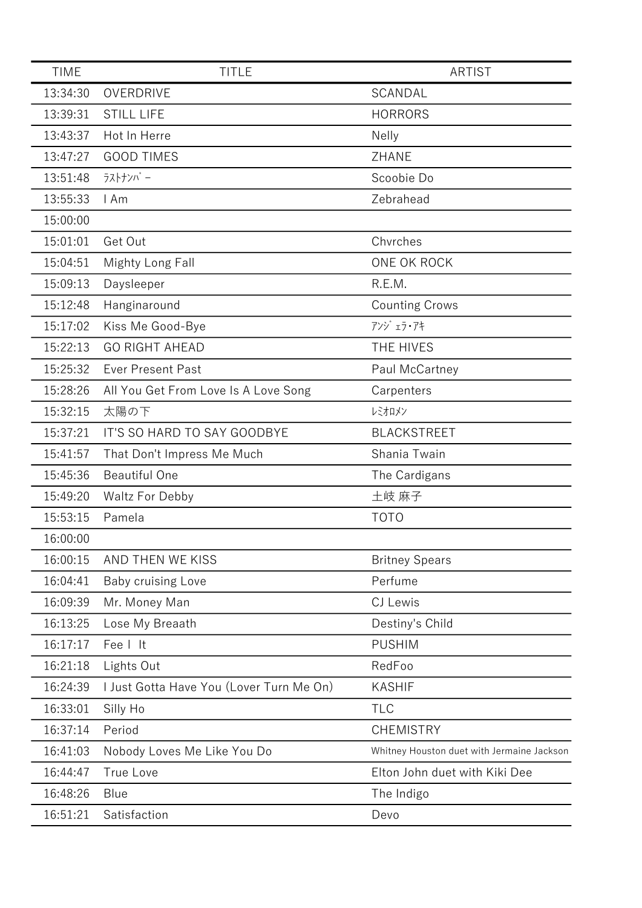| <b>TIME</b> | <b>TITLE</b>                             | <b>ARTIST</b>                              |
|-------------|------------------------------------------|--------------------------------------------|
| 13:34:30    | OVERDRIVE                                | SCANDAL                                    |
| 13:39:31    | <b>STILL LIFE</b>                        | <b>HORRORS</b>                             |
| 13:43:37    | Hot In Herre                             | <b>Nelly</b>                               |
| 13:47:27    | <b>GOOD TIMES</b>                        | ZHANE                                      |
| 13:51:48    | ラストナンバー                                  | Scoobie Do                                 |
| 13:55:33    | I Am                                     | Zebrahead                                  |
| 15:00:00    |                                          |                                            |
| 15:01:01    | Get Out                                  | Chvrches                                   |
| 15:04:51    | Mighty Long Fall                         | ONE OK ROCK                                |
| 15:09:13    | Daysleeper                               | R.E.M.                                     |
| 15:12:48    | Hanginaround                             | <b>Counting Crows</b>                      |
| 15:17:02    | Kiss Me Good-Bye                         | アンジェラ・アキ                                   |
| 15:22:13    | <b>GO RIGHT AHEAD</b>                    | THE HIVES                                  |
| 15:25:32    | <b>Ever Present Past</b>                 | Paul McCartney                             |
| 15:28:26    | All You Get From Love Is A Love Song     | Carpenters                                 |
| 15:32:15    | 太陽の下                                     | レミオロメン                                     |
| 15:37:21    | IT'S SO HARD TO SAY GOODBYE              | <b>BLACKSTREET</b>                         |
| 15:41:57    | That Don't Impress Me Much               | Shania Twain                               |
| 15:45:36    | <b>Beautiful One</b>                     | The Cardigans                              |
| 15:49:20    | <b>Waltz For Debby</b>                   | 土岐 麻子                                      |
| 15:53:15    | Pamela                                   | <b>TOTO</b>                                |
| 16:00:00    |                                          |                                            |
| 16:00:15    | AND THEN WE KISS                         | <b>Britney Spears</b>                      |
| 16:04:41    | Baby cruising Love                       | Perfume                                    |
| 16:09:39    | Mr. Money Man                            | CJ Lewis                                   |
| 16:13:25    | Lose My Breaath                          | Destiny's Child                            |
| 16:17:17    | Fee I It                                 | <b>PUSHIM</b>                              |
| 16:21:18    | Lights Out                               | RedFoo                                     |
| 16:24:39    | I Just Gotta Have You (Lover Turn Me On) | <b>KASHIF</b>                              |
| 16:33:01    | Silly Ho                                 | <b>TLC</b>                                 |
| 16:37:14    | Period                                   | <b>CHEMISTRY</b>                           |
| 16:41:03    | Nobody Loves Me Like You Do              | Whitney Houston duet with Jermaine Jackson |
| 16:44:47    | True Love                                | Elton John duet with Kiki Dee              |
| 16:48:26    | Blue                                     | The Indigo                                 |
| 16:51:21    | Satisfaction                             | Devo                                       |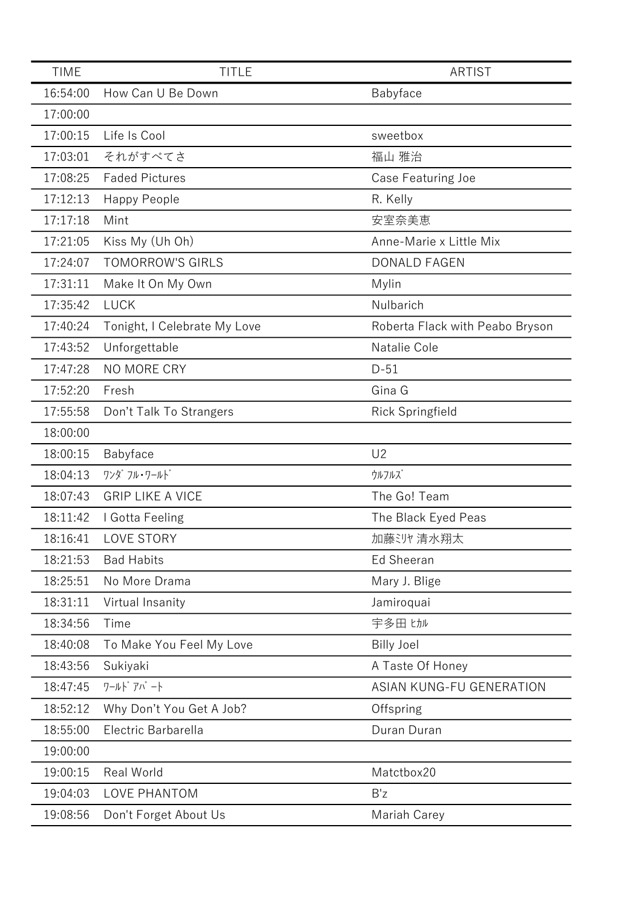| <b>TIME</b> | <b>TITLE</b>                 | <b>ARTIST</b>                   |
|-------------|------------------------------|---------------------------------|
| 16:54:00    | How Can U Be Down            | Babyface                        |
| 17:00:00    |                              |                                 |
| 17:00:15    | Life Is Cool                 | sweetbox                        |
| 17:03:01    | それがすべてさ                      | 福山 雅治                           |
| 17:08:25    | <b>Faded Pictures</b>        | Case Featuring Joe              |
| 17:12:13    | <b>Happy People</b>          | R. Kelly                        |
| 17:17:18    | Mint                         | 安室奈美恵                           |
| 17:21:05    | Kiss My (Uh Oh)              | Anne-Marie x Little Mix         |
| 17:24:07    | <b>TOMORROW'S GIRLS</b>      | <b>DONALD FAGEN</b>             |
| 17:31:11    | Make It On My Own            | Mylin                           |
| 17:35:42    | <b>LUCK</b>                  | Nulbarich                       |
| 17:40:24    | Tonight, I Celebrate My Love | Roberta Flack with Peabo Bryson |
| 17:43:52    | Unforgettable                | Natalie Cole                    |
| 17:47:28    | NO MORE CRY                  | $D-51$                          |
| 17:52:20    | Fresh                        | Gina G                          |
| 17:55:58    | Don't Talk To Strangers      | Rick Springfield                |
| 18:00:00    |                              |                                 |
| 18:00:15    | Babyface                     | U <sub>2</sub>                  |
| 18:04:13    | ワンダ フル・ワールド                  | ウルフルズ                           |
| 18:07:43    | <b>GRIP LIKE A VICE</b>      | The Go! Team                    |
| 18:11:42    | I Gotta Feeling              | The Black Eyed Peas             |
| 18:16:41    | <b>LOVE STORY</b>            | 加藤ジ州清水翔太                        |
| 18:21:53    | <b>Bad Habits</b>            | <b>Ed Sheeran</b>               |
| 18:25:51    | No More Drama                | Mary J. Blige                   |
| 18:31:11    | Virtual Insanity             | Jamiroquai                      |
| 18:34:56    | Time                         | 宇多田 ヒカル                         |
| 18:40:08    | To Make You Feel My Love     | <b>Billy Joel</b>               |
| 18:43:56    | Sukiyaki                     | A Taste Of Honey                |
| 18:47:45    | ワールト゛アパート                    | <b>ASIAN KUNG-FU GENERATION</b> |
| 18:52:12    | Why Don't You Get A Job?     | Offspring                       |
| 18:55:00    | Electric Barbarella          | Duran Duran                     |
| 19:00:00    |                              |                                 |
| 19:00:15    | Real World                   | Matctbox20                      |
| 19:04:03    | LOVE PHANTOM                 | B'z                             |
| 19:08:56    | Don't Forget About Us        | Mariah Carey                    |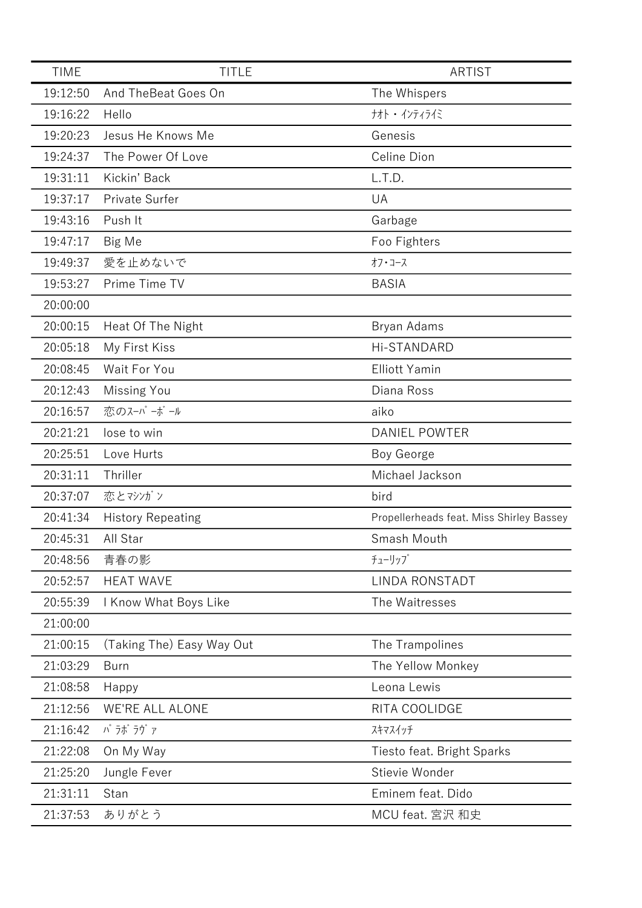| <b>TIME</b> | <b>TITLE</b>              | <b>ARTIST</b>                            |
|-------------|---------------------------|------------------------------------------|
| 19:12:50    | And TheBeat Goes On       | The Whispers                             |
| 19:16:22    | Hello                     | ナオト ・ インティライミ                            |
| 19:20:23    | Jesus He Knows Me         | Genesis                                  |
| 19:24:37    | The Power Of Love         | Celine Dion                              |
| 19:31:11    | Kickin' Back              | L.T.D.                                   |
| 19:37:17    | Private Surfer            | UA                                       |
| 19:43:16    | Push It                   | Garbage                                  |
| 19:47:17    | Big Me                    | Foo Fighters                             |
| 19:49:37    | 愛を止めないで                   | オフ・コース                                   |
| 19:53:27    | Prime Time TV             | <b>BASIA</b>                             |
| 20:00:00    |                           |                                          |
| 20:00:15    | Heat Of The Night         | Bryan Adams                              |
| 20:05:18    | My First Kiss             | Hi-STANDARD                              |
| 20:08:45    | Wait For You              | <b>Elliott Yamin</b>                     |
| 20:12:43    | <b>Missing You</b>        | Diana Ross                               |
| 20:16:57    | 恋のスーパーボール                 | aiko                                     |
| 20:21:21    | lose to win               | <b>DANIEL POWTER</b>                     |
| 20:25:51    | Love Hurts                | Boy George                               |
| 20:31:11    | Thriller                  | Michael Jackson                          |
| 20:37:07    | 恋とマシゾン                    | bird                                     |
| 20:41:34    | <b>History Repeating</b>  | Propellerheads feat. Miss Shirley Bassey |
| 20:45:31    | All Star                  | Smash Mouth                              |
| 20:48:56    | 青春の影                      | チューリップ                                   |
| 20:52:57    | <b>HEAT WAVE</b>          | <b>LINDA RONSTADT</b>                    |
| 20:55:39    | I Know What Boys Like     | The Waitresses                           |
| 21:00:00    |                           |                                          |
| 21:00:15    | (Taking The) Easy Way Out | The Trampolines                          |
| 21:03:29    | <b>Burn</b>               | The Yellow Monkey                        |
| 21:08:58    | Happy                     | Leona Lewis                              |
| 21:12:56    | <b>WE'RE ALL ALONE</b>    | RITA COOLIDGE                            |
| 21:16:42    | パ ラボ ラヴ ァ                 | スキマスイッチ                                  |
| 21:22:08    | On My Way                 | Tiesto feat. Bright Sparks               |
| 21:25:20    | Jungle Fever              | Stievie Wonder                           |
| 21:31:11    | Stan                      | Eminem feat. Dido                        |
| 21:37:53    | ありがとう                     | MCU feat. 宮沢 和史                          |